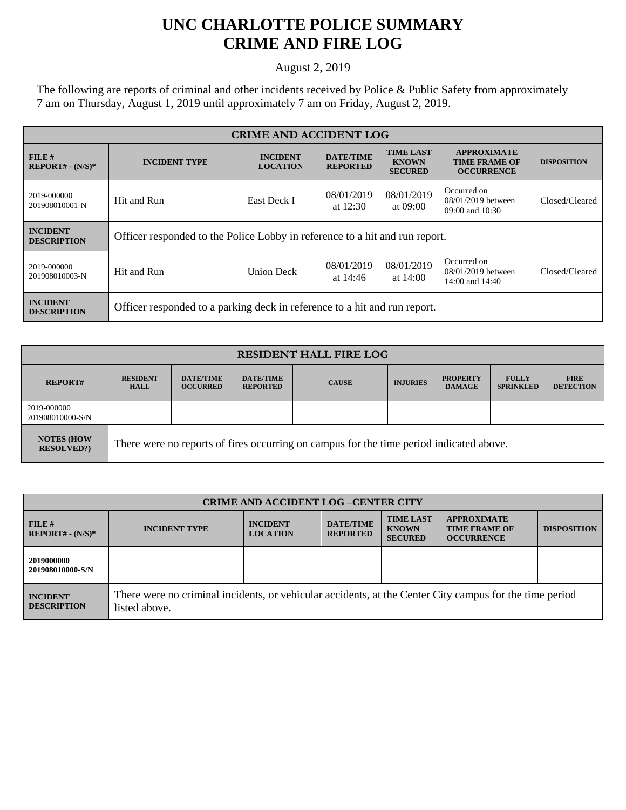## **UNC CHARLOTTE POLICE SUMMARY CRIME AND FIRE LOG**

August 2, 2019

The following are reports of criminal and other incidents received by Police & Public Safety from approximately 7 am on Thursday, August 1, 2019 until approximately 7 am on Friday, August 2, 2019.

| <b>CRIME AND ACCIDENT LOG</b>         |                                                                             |                                    |                                     |                                                    |                                                                 |                    |  |
|---------------------------------------|-----------------------------------------------------------------------------|------------------------------------|-------------------------------------|----------------------------------------------------|-----------------------------------------------------------------|--------------------|--|
| FILE H<br>$REPORT# - (N/S)*$          | <b>INCIDENT TYPE</b>                                                        | <b>INCIDENT</b><br><b>LOCATION</b> | <b>DATE/TIME</b><br><b>REPORTED</b> | <b>TIME LAST</b><br><b>KNOWN</b><br><b>SECURED</b> | <b>APPROXIMATE</b><br><b>TIME FRAME OF</b><br><b>OCCURRENCE</b> | <b>DISPOSITION</b> |  |
| 2019-000000<br>201908010001-N         | East Deck I<br>Hit and Run                                                  |                                    | 08/01/2019<br>at $12:30$            | 08/01/2019<br>at $09:00$                           | Occurred on<br>08/01/2019 between<br>09:00 and 10:30            | Closed/Cleared     |  |
| <b>INCIDENT</b><br><b>DESCRIPTION</b> | Officer responded to the Police Lobby in reference to a hit and run report. |                                    |                                     |                                                    |                                                                 |                    |  |
| 2019-000000<br>201908010003-N         | Hit and Run                                                                 | <b>Union Deck</b>                  | 08/01/2019<br>at $14:46$            | 08/01/2019<br>at $14:00$                           | Occurred on<br>08/01/2019 between<br>14:00 and $14:40$          | Closed/Cleared     |  |
| <b>INCIDENT</b><br><b>DESCRIPTION</b> | Officer responded to a parking deck in reference to a hit and run report.   |                                    |                                     |                                                    |                                                                 |                    |  |

| <b>RESIDENT HALL FIRE LOG</b>         |                                                                                         |                                     |                                     |              |                 |                                  |                                  |                                 |
|---------------------------------------|-----------------------------------------------------------------------------------------|-------------------------------------|-------------------------------------|--------------|-----------------|----------------------------------|----------------------------------|---------------------------------|
| <b>REPORT#</b>                        | <b>RESIDENT</b><br><b>HALL</b>                                                          | <b>DATE/TIME</b><br><b>OCCURRED</b> | <b>DATE/TIME</b><br><b>REPORTED</b> | <b>CAUSE</b> | <b>INJURIES</b> | <b>PROPERTY</b><br><b>DAMAGE</b> | <b>FULLY</b><br><b>SPRINKLED</b> | <b>FIRE</b><br><b>DETECTION</b> |
| 2019-000000<br>201908010000-S/N       |                                                                                         |                                     |                                     |              |                 |                                  |                                  |                                 |
| <b>NOTES (HOW</b><br><b>RESOLVED?</b> | There were no reports of fires occurring on campus for the time period indicated above. |                                     |                                     |              |                 |                                  |                                  |                                 |

| <b>CRIME AND ACCIDENT LOG-CENTER CITY</b> |                                                                                                                          |                                    |                                     |                                                    |                                                                 |                    |
|-------------------------------------------|--------------------------------------------------------------------------------------------------------------------------|------------------------------------|-------------------------------------|----------------------------------------------------|-----------------------------------------------------------------|--------------------|
| FILE#<br>$REPORT# - (N/S)*$               | <b>INCIDENT TYPE</b>                                                                                                     | <b>INCIDENT</b><br><b>LOCATION</b> | <b>DATE/TIME</b><br><b>REPORTED</b> | <b>TIME LAST</b><br><b>KNOWN</b><br><b>SECURED</b> | <b>APPROXIMATE</b><br><b>TIME FRAME OF</b><br><b>OCCURRENCE</b> | <b>DISPOSITION</b> |
| 2019000000<br>201908010000-S/N            |                                                                                                                          |                                    |                                     |                                                    |                                                                 |                    |
| <b>INCIDENT</b><br><b>DESCRIPTION</b>     | There were no criminal incidents, or vehicular accidents, at the Center City campus for the time period<br>listed above. |                                    |                                     |                                                    |                                                                 |                    |